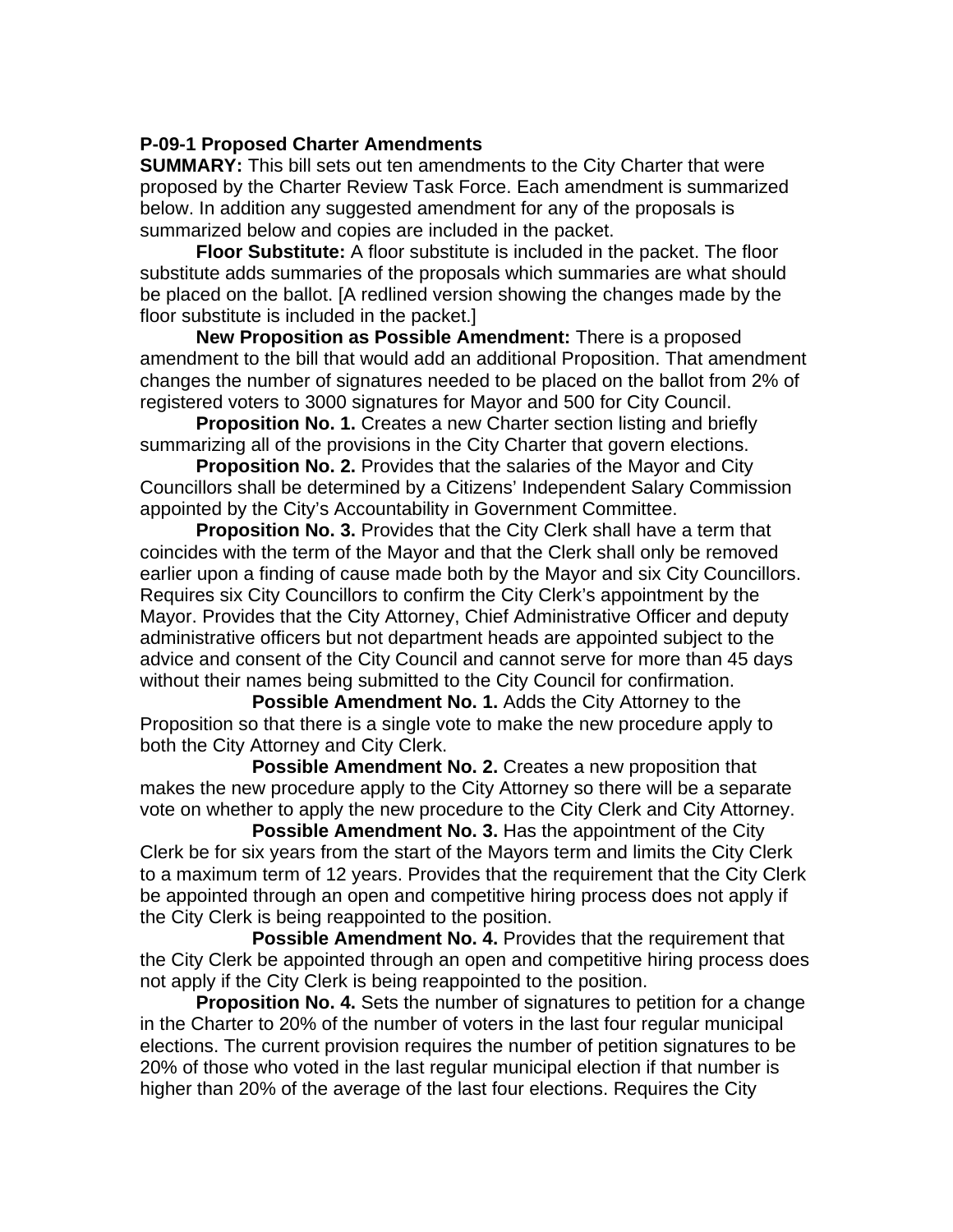## **P-09-1 Proposed Charter Amendments**

**SUMMARY:** This bill sets out ten amendments to the City Charter that were proposed by the Charter Review Task Force. Each amendment is summarized below. In addition any suggested amendment for any of the proposals is summarized below and copies are included in the packet.

**Floor Substitute:** A floor substitute is included in the packet. The floor substitute adds summaries of the proposals which summaries are what should be placed on the ballot. [A redlined version showing the changes made by the floor substitute is included in the packet.]

**New Proposition as Possible Amendment:** There is a proposed amendment to the bill that would add an additional Proposition. That amendment changes the number of signatures needed to be placed on the ballot from 2% of registered voters to 3000 signatures for Mayor and 500 for City Council.

**Proposition No. 1.** Creates a new Charter section listing and briefly summarizing all of the provisions in the City Charter that govern elections.

**Proposition No. 2.** Provides that the salaries of the Mayor and City Councillors shall be determined by a Citizens' Independent Salary Commission appointed by the City's Accountability in Government Committee.

 **Proposition No. 3.** Provides that the City Clerk shall have a term that coincides with the term of the Mayor and that the Clerk shall only be removed earlier upon a finding of cause made both by the Mayor and six City Councillors. Requires six City Councillors to confirm the City Clerk's appointment by the Mayor. Provides that the City Attorney, Chief Administrative Officer and deputy administrative officers but not department heads are appointed subject to the advice and consent of the City Council and cannot serve for more than 45 days without their names being submitted to the City Council for confirmation.

**Possible Amendment No. 1.** Adds the City Attorney to the Proposition so that there is a single vote to make the new procedure apply to both the City Attorney and City Clerk.

**Possible Amendment No. 2.** Creates a new proposition that makes the new procedure apply to the City Attorney so there will be a separate vote on whether to apply the new procedure to the City Clerk and City Attorney.

**Possible Amendment No. 3.** Has the appointment of the City Clerk be for six years from the start of the Mayors term and limits the City Clerk to a maximum term of 12 years. Provides that the requirement that the City Clerk be appointed through an open and competitive hiring process does not apply if the City Clerk is being reappointed to the position.

**Possible Amendment No. 4. Provides that the requirement that** the City Clerk be appointed through an open and competitive hiring process does not apply if the City Clerk is being reappointed to the position.

**Proposition No. 4.** Sets the number of signatures to petition for a change in the Charter to 20% of the number of voters in the last four regular municipal elections. The current provision requires the number of petition signatures to be 20% of those who voted in the last regular municipal election if that number is higher than 20% of the average of the last four elections. Requires the City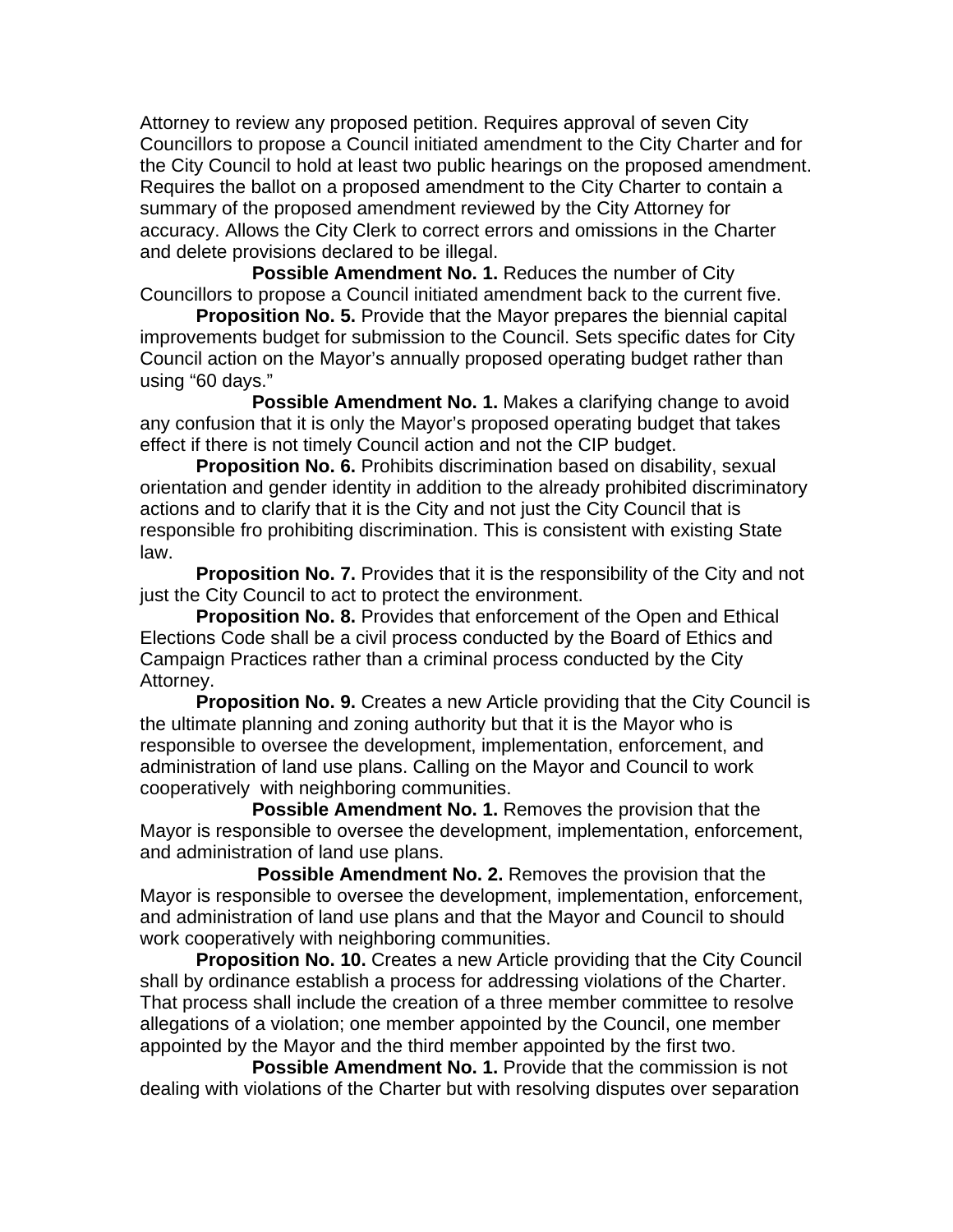Attorney to review any proposed petition. Requires approval of seven City Councillors to propose a Council initiated amendment to the City Charter and for the City Council to hold at least two public hearings on the proposed amendment. Requires the ballot on a proposed amendment to the City Charter to contain a summary of the proposed amendment reviewed by the City Attorney for accuracy. Allows the City Clerk to correct errors and omissions in the Charter and delete provisions declared to be illegal.

**Possible Amendment No. 1. Reduces the number of City** Councillors to propose a Council initiated amendment back to the current five.

 **Proposition No. 5.** Provide that the Mayor prepares the biennial capital improvements budget for submission to the Council. Sets specific dates for City Council action on the Mayor's annually proposed operating budget rather than using "60 days."

 **Possible Amendment No. 1.** Makes a clarifying change to avoid any confusion that it is only the Mayor's proposed operating budget that takes effect if there is not timely Council action and not the CIP budget.

**Proposition No. 6.** Prohibits discrimination based on disability, sexual orientation and gender identity in addition to the already prohibited discriminatory actions and to clarify that it is the City and not just the City Council that is responsible fro prohibiting discrimination. This is consistent with existing State law.

**Proposition No. 7.** Provides that it is the responsibility of the City and not just the City Council to act to protect the environment.

**Proposition No. 8.** Provides that enforcement of the Open and Ethical Elections Code shall be a civil process conducted by the Board of Ethics and Campaign Practices rather than a criminal process conducted by the City Attorney.

**Proposition No. 9.** Creates a new Article providing that the City Council is the ultimate planning and zoning authority but that it is the Mayor who is responsible to oversee the development, implementation, enforcement, and administration of land use plans. Calling on the Mayor and Council to work cooperatively with neighboring communities.

**Possible Amendment No. 1.** Removes the provision that the Mayor is responsible to oversee the development, implementation, enforcement, and administration of land use plans.

**Possible Amendment No. 2.** Removes the provision that the Mayor is responsible to oversee the development, implementation, enforcement, and administration of land use plans and that the Mayor and Council to should work cooperatively with neighboring communities.

**Proposition No. 10.** Creates a new Article providing that the City Council shall by ordinance establish a process for addressing violations of the Charter. That process shall include the creation of a three member committee to resolve allegations of a violation; one member appointed by the Council, one member appointed by the Mayor and the third member appointed by the first two.

**Possible Amendment No. 1.** Provide that the commission is not dealing with violations of the Charter but with resolving disputes over separation